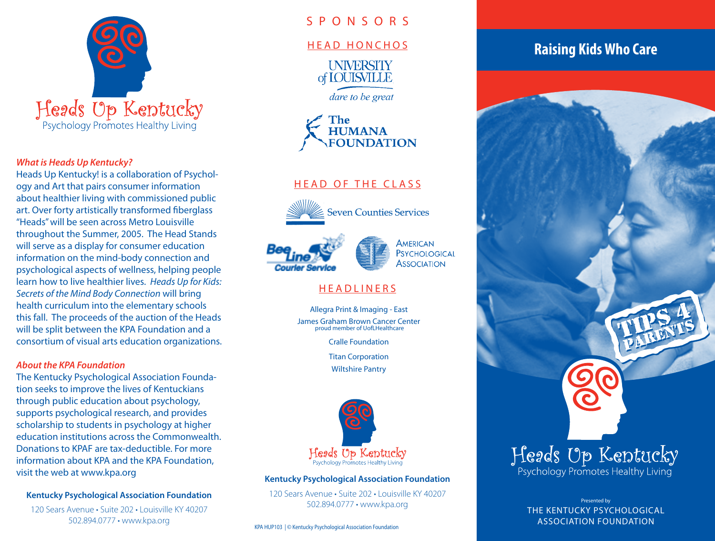

### *What is Heads Up Kentucky?*

Heads Up Kentucky! is a collaboration of Psychology and Art that pairs consumer information about healthier living with commissioned public art. Over forty artistically transformed fiberglass "Heads" will be seen across Metro Louisville throughout the Summer, 2005. The Head Stands will serve as a display for consumer education information on the mind-body connection and psychological aspects of wellness, helping people learn how to live healthier lives. *Heads Up for Kids: Secrets of the Mind Body Connection* will bring health curriculum into the elementary schools this fall. The proceeds of the auction of the Heads will be split between the KPA Foundation and a consortium of visual arts education organizations.

### *About the KPA Foundation*

The Kentucky Psychological Association Foundation seeks to improve the lives of Kentuckians through public education about psychology, supports psychological research, and provides scholarship to students in psychology at higher education institutions across the Commonwealth. Donations to KPAF are tax-deductible. For more information about KPA and the KPA Foundation, visit the web at www.kpa.org

### **Kentucky Psychological Association Foundation**

120 Sears Avenue • Suite 202 • Louisville KY 40207 502.894.0777 • www.kpa.org

# S P O N S O R S

### HEAD HONCHOS

**INIVERSITY** of **IOUISVILLE** 

dare to be great

The **HUMANA**<br>FOUNDATION

# HEAD OF THE CLASS



**Seven Counties Services** 





# **HEADLINERS**

Allegra Print & Imaging - East James Graham Brown Cancer Center proud member of UofLHealthcare

Cralle Foundation

Titan Corporation

Wiltshire Pantry



#### **Kentucky Psychological Association Foundation**

120 Sears Avenue • Suite 202 • Louisville KY 40207 502.894.0777 • www.kpa.org

KPA HUP103 | © Kentucky Psychological Association Foundation

# **Raising Kids Who Care**



Presented by THE KENTUCKY PSYCHOLOGICAL ASSOCIATION FOUNDATION